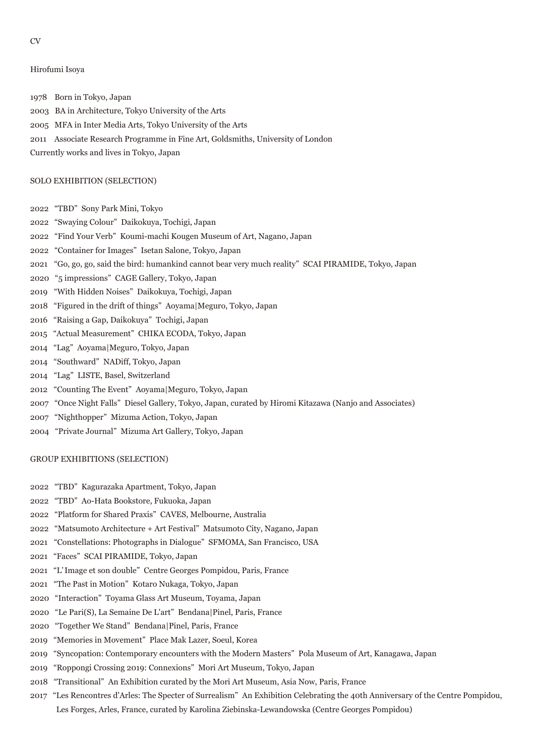## Hirofumi Isoya

1978 Born in Tokyo, Japan 2003 BA in Architecture, Tokyo University of the Arts 2005 MFA in Inter Media Arts, Tokyo University of the Arts 2011 Associate Research Programme in Fine Art, Goldsmiths, University of London Currently works and lives in Tokyo, Japan

## SOLO EXHIBITION (SELECTION)

- 2022 "TBD" Sony Park Mini, Tokyo
- 2022 "Swaying Colour" Daikokuya, Tochigi, Japan
- 2022 "Find Your Verb" Koumi-machi Kougen Museum of Art, Nagano, Japan
- 2022 "Container for Images" Isetan Salone, Tokyo, Japan
- 2021 "Go, go, go, said the bird: humankind cannot bear very much reality" SCAI PIRAMIDE, Tokyo, Japan
- 2020 "5 impressions" CAGE Gallery, Tokyo, Japan
- 2019 "With Hidden Noises" Daikokuya, Tochigi, Japan
- 2018 "Figured in the drift of things" Aoyama|Meguro, Tokyo, Japan
- 2016 "Raising a Gap, Daikokuya" Tochigi, Japan
- 2015 "Actual Measurement" CHIKA ECODA, Tokyo, Japan
- 2014 "Lag" Aoyama|Meguro, Tokyo, Japan
- 2014 "Southward" NADiff, Tokyo, Japan
- 2014 "Lag" LISTE, Basel, Switzerland
- 2012 "Counting The Event" Aoyama|Meguro, Tokyo, Japan
- 2007 "Once Night Falls" Diesel Gallery, Tokyo, Japan, curated by Hiromi Kitazawa (Nanjo and Associates)
- 2007 "Nighthopper" Mizuma Action, Tokyo, Japan
- 2004 "Private Journal" Mizuma Art Gallery, Tokyo, Japan
- GROUP EXHIBITIONS (SELECTION)
- 2022 "TBD" Kagurazaka Apartment, Tokyo, Japan
- 2022 "TBD" Ao-Hata Bookstore, Fukuoka, Japan
- 2022 "Platform for Shared Praxis" CAVES, Melbourne, Australia
- 2022 "Matsumoto Architecture + Art Festival" Matsumoto City, Nagano, Japan
- 2021 "Constellations: Photographs in Dialogue" SFMOMA, San Francisco, USA
- 2021 "Faces" SCAI PIRAMIDE, Tokyo, Japan
- 2021 "L'Image et son double" Centre Georges Pompidou, Paris, France
- 2021 "The Past in Motion" Kotaro Nukaga, Tokyo, Japan
- 2020 "Interaction" Toyama Glass Art Museum, Toyama, Japan
- 2020 "Le Pari(S), La Semaine De L'art" Bendana|Pinel, Paris, France
- 2020 "Together We Stand" Bendana|Pinel, Paris, France
- 2019 "Memories in Movement" Place Mak Lazer, Soeul, Korea
- 2019 "Syncopation: Contemporary encounters with the Modern Masters" Pola Museum of Art, Kanagawa, Japan
- 2019 "Roppongi Crossing 2019: Connexions" Mori Art Museum, Tokyo, Japan
- 2018 "Transitional" An Exhibition curated by the Mori Art Museum, Asia Now, Paris, France
- 2017 "Les Rencontres d'Arles: The Specter of Surrealism" An Exhibition Celebrating the 40th Anniversary of the Centre Pompidou, Les Forges, Arles, France, curated by Karolina Ziebinska-Lewandowska (Centre Georges Pompidou)